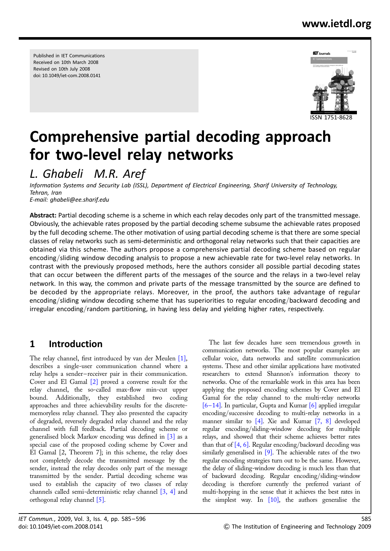### www.ietdl.org

Published in IET Communications Received on 10th March 2008 Revised on 10th July 2008 doi: 10.1049/iet-com.2008.0141



# Comprehensive partial decoding approach for two-level relay networks

## L. Ghabeli M.R. Aref

Information Systems and Security Lab (ISSL), Department of Electrical Engineering, Sharif University of Technology, Tehran, Iran E-mail: ghabeli@ee.sharif.edu

Abstract: Partial decoding scheme is a scheme in which each relay decodes only part of the transmitted message. Obviously, the achievable rates proposed by the partial decoding scheme subsume the achievable rates proposed by the full decoding scheme. The other motivation of using partial decoding scheme is that there are some special classes of relay networks such as semi-deterministic and orthogonal relay networks such that their capacities are obtained via this scheme. The authors propose a comprehensive partial decoding scheme based on regular encoding/sliding window decoding analysis to propose a new achievable rate for two-level relay networks. In contrast with the previously proposed methods, here the authors consider all possible partial decoding states that can occur between the different parts of the messages of the source and the relays in a two-level relay network. In this way, the common and private parts of the message transmitted by the source are defined to be decoded by the appropriate relays. Moreover, in the proof, the authors take advantage of regular encoding/sliding window decoding scheme that has superiorities to regular encoding/backward decoding and irregular encoding/random partitioning, in having less delay and yielding higher rates, respectively.

### 1 Introduction

The relay channel, first introduced by van der Meulen [1], describes a single-user communication channel where a relay helps a sender – receiver pair in their communication. Cover and El Gamal [2] proved a converse result for the relay channel, the so-called max-flow min-cut upper bound. Additionally, they established two coding approaches and three achievability results for the discretememoryless relay channel. They also presented the capacity of degraded, reversely degraded relay channel and the relay channel with full feedback. Partial decoding scheme or generalised block Markov encoding was defined in [3] as a special case of the proposed coding scheme by Cover and El Gamal [2, Theorem 7]; in this scheme, the relay does not completely decode the transmitted message by the sender, instead the relay decodes only part of the message transmitted by the sender. Partial decoding scheme was used to establish the capacity of two classes of relay channels called semi-deterministic relay channel [3, 4] and orthogonal relay channel [5].

The last few decades have seen tremendous growth in communication networks. The most popular examples are cellular voice, data networks and satellite communication systems. These and other similar applications have motivated researchers to extend Shannon's information theory to networks. One of the remarkable work in this area has been applying the proposed encoding schemes by Cover and El Gamal for the relay channel to the multi-relay networks  $[6–14]$ . In particular, Gupta and Kumar  $[6]$  applied irregular encoding/successive decoding to multi-relay networks in a manner similar to [4]. Xie and Kumar [7, 8] developed regular encoding/sliding-window decoding for multiple relays, and showed that their scheme achieves better rates than that of  $[4, 6]$ . Regular encoding/backward decoding was similarly generalised in  $[9]$ . The achievable rates of the two regular encoding strategies turn out to be the same. However, the delay of sliding-window decoding is much less than that of backward decoding. Regular encoding/sliding-window decoding is therefore currently the preferred variant of multi-hopping in the sense that it achieves the best rates in the simplest way. In  $[10]$ , the authors generalise the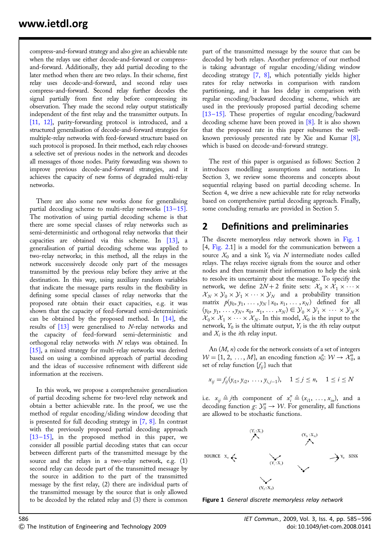compress-and-forward strategy and also give an achievable rate when the relays use either decode-and-forward or compressand-forward. Additionally, they add partial decoding to the later method when there are two relays. In their scheme, first relay uses decode-and-forward, and second relay uses compress-and-forward. Second relay further decodes the signal partially from first relay before compressing its observation. They made the second relay output statistically independent of the first relay and the transmitter outputs. In [11, 12], parity-forwarding protocol is introduced, and a structured generalisation of decode-and-forward strategies for multiple-relay networks with feed-forward structure based on such protocol is proposed. In their method, each relay chooses a selective set of previous nodes in the network and decodes all messages of those nodes. Parity forwarding was shown to improve previous decode-and-forward strategies, and it achieves the capacity of new forms of degraded multi-relay networks.

There are also some new works done for generalising partial decoding scheme to multi-relay networks  $[13-15]$ . The motivation of using partial decoding scheme is that there are some special classes of relay networks such as semi-deterministic and orthogonal relay networks that their capacities are obtained via this scheme. In [13], a generalisation of partial decoding scheme was applied to two-relay networks; in this method, all the relays in the network successively decode only part of the messages transmitted by the previous relay before they arrive at the destination. In this way, using auxiliary random variables that indicate the message parts results in the flexibility in defining some special classes of relay networks that the proposed rate obtain their exact capacities, e.g. it was shown that the capacity of feed-forward semi-deterministic can be obtained by the proposed method. In  $[14]$ , the results of [13] were generalised to N-relay networks and the capacity of feed-forward semi-deterministic and orthogonal relay networks with N relays was obtained. In [15], a mixed strategy for multi-relay networks was derived based on using a combined approach of partial decoding and the ideas of successive refinement with different side information at the receivers.

In this work, we propose a comprehensive generalisation of partial decoding scheme for two-level relay network and obtain a better achievable rate. In the proof, we use the method of regular encoding/sliding window decoding that is presented for full decoding strategy in [7, 8]. In contrast with the previously proposed partial decoding approach  $[13-15]$ , in the proposed method in this paper, we consider all possible partial decoding states that can occur between different parts of the transmitted message by the source and the relays in a two-relay network, e.g. (1) second relay can decode part of the transmitted message by the source in addition to the part of the transmitted message by the first relay, (2) there are individual parts of the transmitted message by the source that is only allowed to be decoded by the related relay and (3) there is common part of the transmitted message by the source that can be decoded by both relays. Another preference of our method is taking advantage of regular encoding/sliding window decoding strategy [7, 8], which potentially yields higher rates for relay networks in comparison with random partitioning, and it has less delay in comparison with regular encoding/backward decoding scheme, which are used in the previously proposed partial decoding scheme [13 – 15]. These properties of regular encoding/backward decoding scheme have been proved in  $[8]$ . It is also shown that the proposed rate in this paper subsumes the wellknown previously presented rate by Xie and Kumar [8], which is based on decode-and-forward strategy.

The rest of this paper is organised as follows: Section 2 introduces modelling assumptions and notations. In Section 3, we review some theorems and concepts about sequential relaying based on partial decoding scheme. In Section 4, we drive a new achievable rate for relay networks based on comprehensive partial decoding approach. Finally, some concluding remarks are provided in Section 5.

### 2 Definitions and preliminaries

The discrete memoryless relay network shown in Fig. 1 [4, Fig. 2.1] is a model for the communication between a source  $X_0$  and a sink  $Y_0$  via N intermediate nodes called relays. The relays receive signals from the source and other nodes and then transmit their information to help the sink to resolve its uncertainty about the message. To specify the network, we define  $2N+2$  finite sets:  $\mathcal{X}_0 \times \mathcal{X}_1 \times \cdots \times$  $\mathcal{X}_N \times \mathcal{Y}_0 \times \mathcal{Y}_1 \times \cdots \times \mathcal{Y}_N$  and a probability transition matrix  $p(y_0, y_1, \ldots, y_N | x_0, x_1, \ldots, x_N)$  defined for all  $(y_0, y_1, \ldots, y_N, x_0, x_1, \ldots, x_N) \in \mathcal{Y}_0 \times \mathcal{Y}_1 \times \cdots \times \mathcal{Y}_N \times$  $\mathcal{X}_0 \times \mathcal{X}_1 \times \cdots \times \mathcal{X}_N$ . In this model,  $X_0$  is the input to the network,  $Y_0$  is the ultimate output,  $Y_i$  is the *i*th relay output and  $X_i$  is the *i*th relay input.

An  $(M, n)$  code for the network consists of a set of integers  $W = \{1, 2, ..., M\}$ , an encoding function  $x_0^n: W \to \mathcal{X}_0^n$ , a set of relay function  $\{f_{ii}\}$  such that

$$
x_{ij} = f_{ij}(y_{i1}, y_{i2}, \ldots, y_{i,j-1}), \quad 1 \le j \le n, \quad 1 \le i \le N
$$

i.e.  $x_{ij} \triangleq j$ th component of  $x_i^n \triangleq (x_{i1}, \ldots, x_{in}),$  and a decoding function  $g: \mathcal{Y}_0^n \to \mathcal{W}$ . For generality, all functions are allowed to be stochastic functions.



Figure 1 General discrete memoryless relay network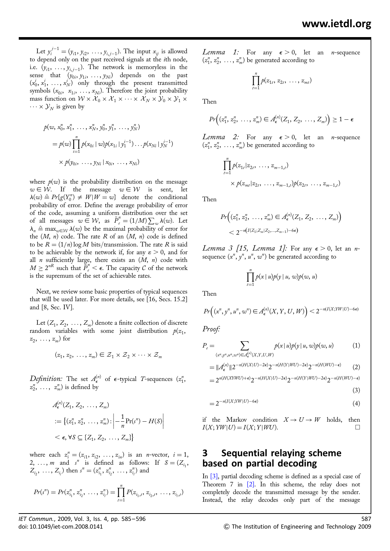Let  $y_i^{j-1} = (y_{i1}, y_{i2}, \dots, y_{i,j-1})$ . The input  $x_{ij}$  is allowed to depend only on the past received signals at the ith node, i.e.  $(y_{i1}, \ldots, y_{i,j-1})$ . The network is memoryless in the sense that  $(y_{0i}, y_{1i}, \ldots, y_{Ni})$  depends on the past  $(x_0^i, x_1^i, \ldots, x_N^i)$  only through the present transmitted symbols  $(x_{0i}, x_{1i}, \ldots, x_{Ni})$ . Therefore the joint probability mass function on  $W \times X_0 \times X_1 \times \cdots \times X_N \times Y_0 \times Y_1 \times Y_0$  $\cdots \times \mathcal{Y}_N$  is given by

$$
p(w, x_0^n, x_1^n, \ldots, x_N^n, y_0^n, y_1^n, \ldots, y_N^n)
$$
  
=  $p(w) \prod_{i=1}^n p(x_{0i} | w) p(x_{1i} | y_1^{i-1}) \ldots p(x_{Ni} | y_N^{i-1})$   
 $\times p(y_{0i}, \ldots, y_{Ni} | x_{0i}, \ldots, x_{Ni})$ 

where  $p(w)$  is the probability distribution on the message  $w \in \mathcal{W}$ . If the message  $w \in \mathcal{W}$  is sent, let  $\lambda(w) \triangleq Pr{g(Y_0^n) \neq W|W=w}$  denote the conditional probability of error. Define the average probability of error of the code, assuming a uniform distribution over the set of all messages  $w \in W$ , as  $\overline{P}_e^n = (1/M) \sum_w \lambda(w)$ . Let  $\lambda_n \triangleq \max_{w \in \mathcal{W}} \lambda(w)$  be the maximal probability of error for the  $(M, n)$  code. The rate R of an  $(M, n)$  code is defined to be  $R = (1/n) \log M$  bits/transmission. The rate R is said to be achievable by the network if, for any  $\varepsilon > 0$ , and for all *n* sufficiently large, there exists an  $(M, n)$  code with  $M \geq 2^{nR}$  such that  $\overline{P}_{e}^{n'} < \epsilon$ . The capacity C of the network is the supremum of the set of achievable rates.

Next, we review some basic properties of typical sequences that will be used later. For more details, see [16, Secs. 15.2] and [8, Sec. IV].

Let  $(Z_1, Z_2, \ldots, Z_m)$  denote a finite collection of discrete random variables with some joint distribution  $p(z_1, z_2)$  $z_2, \ldots, z_m$  for

$$
(z_1, z_2, \ldots, z_m) \in \mathcal{Z}_1 \times \mathcal{Z}_2 \times \cdots \times \mathcal{Z}_m
$$

Definition: The set  $A_{\epsilon}^{(n)}$  of  $\epsilon$ -typical T-sequences ( $z_1^n$ ,  $z_2^n, \ldots, z_m^n$  is defined by

$$
A_{\epsilon}^{(n)}(Z_1, Z_2, \ldots, Z_m)
$$
  

$$
:= \{ (z_1^n, z_2^n, \ldots, z_m^n) : \left| -\frac{1}{n} \Pr(s^n) - H(S) \right|
$$
  

$$
< \epsilon, \forall S \subseteq \{Z_1, Z_2, \ldots, Z_m\} \}
$$

where each  $z_i^n = (z_{i1}, z_{i2}, \ldots, z_{in})$  is an *n*-vector,  $i = 1$ ,  $2, \ldots, m$  and  $s^n$  is defined as follows: If  $S = (Z_{i_1}, \ldots, Z_{i_n})$  $Z_{i_2}, \ldots, Z_{i_l}$  then  $s^n = (z_{i_1}^n, z_{i_2}^n, \ldots, z_{i_l}^n)$  and

$$
Pr(s^n) = Pr(z_{i_1}^n, z_{i_2}^n, \ldots, z_{i_l}^n) = \prod_{t=1}^n P(z_{i_1,t}, z_{i_2,t}, \ldots, z_{i_l,t})
$$

*Lemma 1*: For any  $\epsilon > 0$ , let an *n*-sequence  $(z_1^n, z_2^n, \ldots, z_m^n)$  be generated according to

$$
\prod_{t=1}^n p(z_{1t}, z_{2t}, \ldots, z_{mt})
$$

Then

$$
Pr\Big((z_1^n, z_2^n, \ldots, z_m^n) \in A_{\epsilon}^{(n)}(Z_1, Z_2, \ldots, Z_m)\Big) \geq 1 - \epsilon
$$

*Lemma* 2: For any  $\epsilon > 0$ , let an *n*-sequence  $(z_1^n, z_2^n, \ldots, z_m^n)$  be generated according to

$$
\prod_{t=1}^{n} p(z_{1t} | z_{2t}, \ldots, z_{m-1,t})
$$
\n
$$
\times p(z_{mt} | z_{2t}, \ldots, z_{m-1,t}) p(z_{2t}, \ldots, z_{m-1,t})
$$

Then

$$
Pr((z_1^n, z_2^n, \ldots, z_m^n) \in A_{\epsilon}^{(n)}(Z_1, Z_2, \ldots, Z_m))
$$
  
< 
$$
< 2^{-n(I(Z_1; Z_m | Z_2, \ldots, Z_{m-1}) - 6\epsilon)}
$$

Lemma 3 [15, Lemma 1]: For any  $\epsilon > 0$ , let an nsequence  $(x^n, y^n, u^n, w^n)$  be generated according to

$$
\prod_{t=1}^n p(x \mid u)p(y \mid u, w)p(w, u)
$$

Then

$$
Pr\left((x^n, y^n, u^n, w^n) \in A_{\epsilon}^{(n)}(X, Y, U, W)\right) < 2^{-n(I(X;YW|U) - 6\epsilon)}
$$

Proof:

$$
P_e = \sum_{(x^n, y^n, u^n, w^n) \in A_e^{(n)}(X, Y, U, W)} p(x | u) p(y | u, w) p(w, u)
$$
(1)

$$
= \|A_{\epsilon}^{(n)}\| 2^{-n(H(X|U)-2\epsilon)} 2^{-n(H(Y|WU)-2\epsilon)} 2^{-n(H(WU)-\epsilon)} \tag{2}
$$

$$
=2^{n(H(XYWU)+\epsilon)}2^{-n(H(X|U)-2\epsilon)}2^{-n(H(Y|WU)-2\epsilon)}2^{-n(H(WU)-\epsilon)}
$$

(3)

$$
=2^{-n(I(X;YW|U)-6\epsilon)}\tag{4}
$$

if the Markov condition  $X \to U \to W$  holds, then  $I(X; YW | U) = I(X; Y | WU).$ 

### 3 Sequential relaying scheme based on partial decoding

In [3], partial decoding scheme is defined as a special case of Theorem 7 in [2]. In this scheme, the relay does not completely decode the transmitted message by the sender. Instead, the relay decodes only part of the message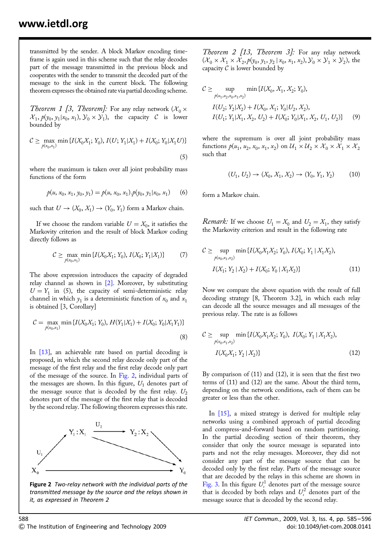transmitted by the sender. A block Markov encoding timeframe is again used in this scheme such that the relay decodes part of the message transmitted in the previous block and cooperates with the sender to transmit the decoded part of the message to the sink in the current block. The following theorem expresses the obtained rate via partial decoding scheme.

*Theorem 1 [3, Theorem]*: For any relay network ( $\mathcal{X}_0 \times$  $\mathcal{X}_1, p(y_0, y_1 | x_0, x_1), \mathcal{Y}_0 \times \mathcal{Y}_1$ , the capacity C is lower bounded by

$$
C \ge \max_{f(x_0, x_1)} \min \{ I(X_0 X_1; Y_0), I(U; Y_1 | X_1) + I(X_0; Y_0 | X_1 U) \}
$$
\n
$$
\tag{5}
$$

where the maximum is taken over all joint probability mass functions of the form

$$
p(u, x_0, x_1, y_0, y_1) = p(u, x_0, x_1).p(y_0, y_1 | x_0, x_1)
$$
 (6)

such that  $U \to (X_0, X_1) \to (Y_0, Y_1)$  form a Markov chain.

If we choose the random variable  $U = X_0$ , it satisfies the Markovity criterion and the result of block Markov coding directly follows as

$$
C \ge \max_{f(x_0, x_1)} \min \{ I(X_0 X_1; Y_0), I(X_0; Y_1 | X_1) \} \tag{7}
$$

The above expression introduces the capacity of degraded relay channel as shown in  $[2]$ . Moreover, by substituting  $U = Y_1$  in (5), the capacity of semi-deterministic relay channel in which  $y_1$  is a deterministic function of  $x_0$  and  $x_1$ is obtained [3, Corollary]

$$
C = \max_{p(x_0, x_1)} \min \{ I(X_0 X_1; Y_0), H(Y_1 | X_1) + I(X_0; Y_0 | X_1 Y_1) \}
$$
\n(8)

In [13], an achievable rate based on partial decoding is proposed, in which the second relay decode only part of the message of the first relay and the first relay decode only part of the message of the source. In Fig. 2, individual parts of the messages are shown. In this figure,  $U_1$  denotes part of the message source that is decoded by the first relay.  $U_2$ denotes part of the message of the first relay that is decoded by the second relay. The following theorem expresses this rate.



Figure 2 Two-relay network with the individual parts of the transmitted message by the source and the relays shown in it, as expressed in Theorem 2

Theorem 2  $[13,$  Theorem 3]: For any relay network  $(\mathcal{X}_0 \times \mathcal{X}_1 \times \mathcal{X}_2, p(y_0, y_1, y_2 | x_0, x_1, x_2), \mathcal{Y}_0 \times \mathcal{Y}_1 \times \mathcal{Y}_2)$ , the capacity  $C$  is lower bounded by

$$
C \geq \sup_{f^{(u_1, u_2, x_0, x_1, x_2)}} \min \{ I(X_0, X_1, X_2; Y_0),
$$
  

$$
I(U_2; Y_2 | X_2) + I(X_0, X_1; Y_0 | U_2, X_2),
$$
  

$$
I(U_1; Y_1 | X_1, X_2, U_2) + I(X_0; Y_0 | X_1, X_2, U_1, U_2) \}
$$
 (9)

where the supremum is over all joint probability mass functions  $p(u_1, u_2, x_0, x_1, x_2)$  on  $\mathcal{U}_1 \times \mathcal{U}_2 \times \mathcal{X}_0 \times \mathcal{X}_1 \times \mathcal{X}_2$ such that

$$
(U_1, U_2) \to (X_0, X_1, X_2) \to (Y_0, Y_1, Y_2) \tag{10}
$$

form a Markov chain.

*Remark:* If we choose  $U_1 = X_0$  and  $U_2 = X_1$ , they satisfy the Markovity criterion and result in the following rate

$$
C \geq \sup_{\rho(x_0, x_1, x_2)} \min \{ I(X_0 X_1 X_2; Y_0), I(X_0; Y_1 | X_1 X_2),
$$
  

$$
I(X_1; Y_2 | X_2) + I(X_0; Y_0 | X_1 X_2) \}
$$
 (11)

Now we compare the above equation with the result of full decoding strategy [8, Theorem 3.2], in which each relay can decode all the source messages and all messages of the previous relay. The rate is as follows

$$
C \ge \sup_{p(x_0, x_1, x_2)} \min \{ I(X_0 X_1 X_2; Y_0), \ I(X_0; Y_1 \mid X_1 X_2), I(X_0 X_1; Y_2 \mid X_2) \}
$$
\n(12)

By comparison of  $(11)$  and  $(12)$ , it is seen that the first two terms of (11) and (12) are the same. About the third term, depending on the network conditions, each of them can be greater or less than the other.

In [15], a mixed strategy is derived for multiple relay networks using a combined approach of partial decoding and compress-and-forward based on random partitioning. In the partial decoding section of their theorem, they consider that only the source message is separated into parts and not the relay messages. Moreover, they did not consider any part of the message source that can be decoded only by the first relay. Parts of the message source that are decoded by the relays in this scheme are shown in Fig. 3. In this figure  $U_s^1$  denotes part of the message source that is decoded by both relays and  $U_s^2$  denotes part of the message source that is decoded by the second relay.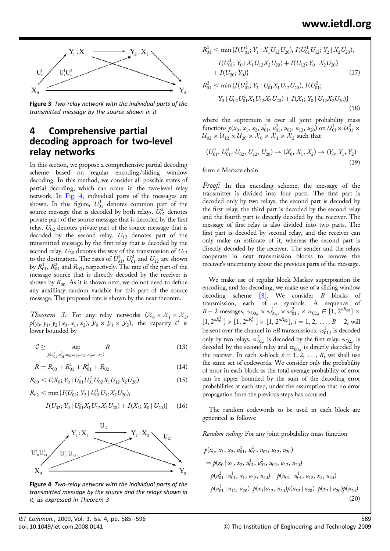

Figure 3 Two-relay network with the individual parts of the transmitted message by the source shown in it

### 4 Comprehensive partial decoding approach for two-level relay networks

In this section, we propose a comprehensive partial decoding scheme based on regular encoding/sliding window decoding. In this method, we consider all possible states of partial decoding, which can occur in the two-level relay network. In Fig. 4, individual parts of the messages are shown. In this figure,  $U_{01}^1$  denotes common part of the source message that is decoded by both relays.  $\bar{U}_{01}^2$  denotes private part of the source message that is decoded by the first relay.  $U_{02}$  denotes private part of the source message that is decoded by the second relay.  $U_{12}$  denotes part of the transmitted message by the first relay that is decoded by the second relay.  $U_{20}$  denotes the way of the transmission of  $U_{12}$ to the destination. The rates of  $U_{01}^1$ ,  $U_{01}^2$  and  $U_{12}$  are shown by  $R_{01}^1$ ,  $R_{01}^2$  and  $R_{02}$ , respectively. The rate of the part of the message source that is directly decoded by the receiver is shown by  $R_{00}$ . As it is shown next, we do not need to define any auxilliary random variable for this part of the source message. The proposed rate is shown by the next theorem.

*Theorem 3:* For any relay networks  $(\mathcal{X}_0 \times \mathcal{X}_1 \times \mathcal{X}_2)$ ,  $p(y_0, y_1, y_2 | x_0, x_1, x_2), y_0 \times y_1 \times y_2$ , the capacity C is lower bounded by

$$
C \ge \sup_{p(u_{01}^1, u_{01}^2, u_{02}, u_{12}, u_{20}, x_0, x_1, x_2)} R
$$
\n(13)

$$
R = R_{00} + R_{01}^1 + R_{01}^2 + R_{02}
$$
 (14)

$$
R_{00} < I(X_0; Y_0 \mid U_{01}^1 U_{01}^2 U_{02} X_1 U_{12} X_2 U_{20}) \tag{15}
$$

$$
R_{02} < \min \{ I(U_{02}; Y_2 \mid U_{01}^1 U_{12} X_2 U_{20}), \\ I(U_{02}; Y_0 \mid U_{01}^1 X_1 U_{12} X_2 U_{20}) + I(X_2; Y_0 \mid U_{20}) \} \tag{16}
$$



Figure 4 Two-relay network with the individual parts of the transmitted message by the source and the relays shown in it, as expressed in Theorem 3

$$
R_{01}^{1} < \min \{ I(U_{01}^{1}; Y_1 | X_1 U_{12} U_{20}), I(U_{01}^{1} U_{12}; Y_2 | X_2 U_{20}), \\ I(U_{01}^{1}; Y_0 | X_1 U_{12} X_2 U_{20}) + I(U_{12}; Y_0 | X_2 U_{20}) \\ + I(U_{20}; Y_0) \} \tag{17}
$$
\n
$$
R_{01}^{2} < \min \{ I(U_{01}^{2}; Y_1 | U_{01}^{1} X_1 U_{12} U_{20}), I(U_{01}^{2};
$$

$$
Y_0 \mid U_{02} U_{01}^1 X_1 U_{12} X_2 U_{20} \rangle + I(X_1; Y_0 \mid U_{12} X_2 U_{20}) \}
$$
\n
$$
\tag{18}
$$

where the supremum is over all joint probability mass functions  $p(x_0, x_1, x_2, u_{01}^1, u_{01}^2, u_{02}, u_{12}, u_{20})$  on  $\mathcal{U}_{01}^1 \times \mathcal{U}_{01}^2 \times$  ${\mathcal U}_{02}\times{\mathcal U}_{12}\times{\mathcal U}_{20}\times{\mathcal X}_0\times{\mathcal X}_1\times{\mathcal X}_2$  such that

$$
(U_{01}^1, U_{01}^2, U_{02}, U_{12}, U_{20}) \to (X_0, X_1, X_2) \to (Y_0, Y_1, Y_2)
$$
\n(19)

form a Markov chain.

Proof: In this encoding scheme, the message of the transmitter is divided into four parts. The first part is decoded only by two relays, the second part is decoded by the first relay, the third part is decoded by the second relay and the fourth part is directly decoded by the receiver. The message of first relay is also divided into two parts. The first part is decoded by second relay, and the receiver can only make an estimate of it, whereas the second part is directly decoded by the receiver. The sender and the relays cooperate in next transmission blocks to remove the receiver's uncertainty about the previous parts of the message.

We make use of regular block Markov superposition for encoding, and for decoding, we make use of a sliding window decoding scheme [8]. We consider B blocks of transmission, each of  $n$  symbols. A sequence of  $B-2$  messages,  $w_{00,i} \times w_{01,i}^1 \times w_{01,i}^2 \times w_{02,i} \in [1, 2^{nR_{00}}] \times$  $[1, 2^{nR_{01}^1}] \times [1, 2^{nR_{01}^2}] \times [1, 2^{nR_{02}}], i = 1, 2, ..., B-2$ , will be sent over the channel in  $nB$  transmissions.  $w_{01,i}^1$  is decoded only by two relays,  $w_{01,i}^2$  is decoded by the first relay,  $w_{02,i}$  is decoded by the second relay and  $w_{00,i}$  is directly decoded by the receiver. In each *n*-block  $b = 1, 2, ..., B$ , we shall use the same set of codewords. We consider only the probability of error in each block as the total average probability of error can be upper bounded by the sum of the decoding error probabilities at each step, under the assumption that no error propagation from the previous steps has occurred.

The random codewords to be used in each block are generated as follows:

Random coding: For any joint probability mass function

$$
p(x_0, x_1, x_2, u_{01}^1, u_{01}^2, u_{02}, u_{12}, u_{20})
$$
  
=  $p(x_0 | x_1, x_2, u_{01}^1, u_{01}^2, u_{02}, u_{12}, u_{20})$   
 $p(u_{01}^2 | u_{01}^1, x_1, u_{12}, u_{20}) p(u_{02} | u_{01}^1, u_{12}, x_2, u_{20})$   
 $p(u_{01}^1 | u_{12}, u_{20}) p(x_1 | u_{12}, u_{20}) p(u_{12} | u_{20}) p(x_2 | u_{20}) p(u_{20})$   
(20)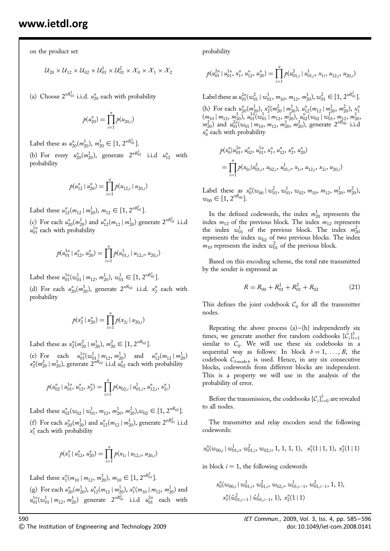on the product set

$$
\mathcal{U}_{20} \times \mathcal{U}_{12} \times \mathcal{U}_{02} \times \mathcal{U}_{01}^1 \times \mathcal{U}_{01}^2 \times \mathcal{X}_0 \times \mathcal{X}_1 \times \mathcal{X}_2
$$

(a) Choose  $2^{nR_{01}^1}$  i.i.d.  $u_{20}^n$  each with probability

$$
p(u_{20}^n) = \prod_{i=1}^n p(u_{20,i})
$$

Label these as  $u_{20}^n(m_{20}^1), m_{20}^1 \in [1, 2^{nR_{01}^1}].$ 

(b) For every  $u_{20}^n(m_{20}^1)$ , generate  $2^{nR_{01}^1}$  i.i.d  $u_{12}^n$  with probability

$$
p(u_{12}^n \mid u_{20}^n) = \prod_{i=1}^n p(u_{12,i} \mid u_{20,i})
$$

Label these  $u_{12}^n(m_{12} | m_{20}^1), m_{12} \in [1, 2^{nR_{01}^1}].$ 

(c) For each  $u_{20}^n(m_{20}^1)$  and  $u_{12}^n(m_{12} \mid m_{20}^1)$  generate  $2^{nR_{01}^1}$  i.i.d  $u_{01}^{1n}$  each with probability

$$
p(u_{01}^{1n} \mid u_{12}^n, u_{20}^n) = \prod_{i=1}^n p(u_{01,i}^1 \mid u_{12,i}, u_{20,i})
$$

Label these  $u_{01}^{1n}(w_{01}^1 | m_{12}, m_{20}^1)$ ,  $w_{01}^1 \in [1, 2^{nR_{01}^1}]$ .

(d) For each  $u_{20}^n(m_{20}^1)$ , generate  $2^{nR_{02}}$  i.i.d.  $x_2^n$  each with probability

$$
p(x_2^n \mid u_{20}^n) = \prod_{i=1}^n p(x_{2i} \mid u_{20,i})
$$

Label these as  $x_2^n(m_{20}^2 | m_{20}^1)$ ,  $m_{20}^2 \in [1, 2^{nR_{02}}]$ .

(e) For each  $u_{01}^{1n}(w_{01}^1 | m_{12}, m_{20}^1)$  and  $u_{12}^n(m_{12} | m_{20}^1)$  $x_2^n(m_{20}^2 \mid m_{20}^1)$ , generate  $2^{nR_{02}}$  i.i.d  $u_{02}^n$  each with probability

$$
p(u_{02}^n \mid u_{01}^{1n}, u_{12}^n, x_2^n) = \prod_{i=1}^n p(u_{02,i} \mid u_{01,i}^1, u_{12,i}^n, x_{2i}^n)
$$

Label these  $u_{02}^n(w_{02} | w_{01}^1, m_{12}, m_{20}^1, m_{20}^2), w_{02} \in [1, 2^{nR_{02}}]$ .

(f) For each  $u_{20}^n(m_{20}^1)$  and  $u_{12}^n(m_{12} | m_{20}^1)$ , generate  $2^{nR_{01}^2}$  i.i.d  $x_1^n$  each with probability

$$
p(x_1^n \mid u_{12}^n, u_{20}^n) = \prod_{i=1}^n p(x_{1i} \mid u_{12,i}, u_{20,i})
$$

Label these  $x_1^n(m_{10} | m_{12}, m_{20}^1), m_{10} \in [1, 2^{nR_{01}^2}].$ 

(g) For each  $u_{20}^n(m_{20}^1), u_{12}^n(m_{12} | m_{20}^1), x_1^n(m_{10} | m_{12}, m_{20}^1)$  and  $u_{01}^{1n}(w_{01}^1 | m_{12}, m_{20}^1)$  generate  $2^{nR_{01}^2}$  i.i.d  $u_{01}^{2n}$  each with probability

$$
p(u_{01}^{2n} | u_{01}^{1n}, x_1^n, u_{12}^n, u_{20}^n) = \prod_{i=1}^n p(u_{01,i}^2 | u_{01,i}^1, x_{1i}, u_{12,i}, u_{20,i})
$$

Label these as  $u_{01}^{2n}(w_{01}^2 | w_{01}^1, m_{10}, m_{12}, m_{20}^1), w_{01}^2 \in [1, 2^{nR_{01}^2}].$ 

(h) For each  $u_{20}^n(m_{20}^1), x_2^n(m_{20}^2 | m_{20}^1), u_{12}^n(m_{12} | m_{20}^1, m_{20}^2), x_1^n$  $(m_{10} | m_{12}, m_{20}^1), u_{01}^{1n}(w_{01}^1 | m_{12}, m_{20}^1), u_{02}^n(w_{02} | w_{01}^1, m_{12}, m_{20}^1))$  $m_{20}^2$ ) and  $u_{01}^{2n}(w_{01} | m_{10}, m_{12}, m_{20}^1, m_{20}^2)$ , generate  $2^{nR_{00}}$  i.i.d  $x_0^n$  each with probability

$$
p(x_0^n|u_{01}^{2n}, u_{02}^n, u_{01}^{1n}, x_1^n, u_{12}^n, x_2^n, u_{20}^n)
$$
  
= 
$$
\prod_{i=1}^n p(x_{0i}|u_{01,i}^2, u_{02,i}, u_{01,i}^1, x_{1i}, u_{12,i}, x_{2i}, u_{20,i})
$$

Label these as  $x_0^n(w_{00} | w_{01}^2, w_{01}^1, w_{02}, m_{10}, m_{12}, m_{20}^1, m_{20}^2)$  $w_{00} \in [1, 2^{nR_{00}}].$ 

In the defined codewords, the index  $m_{20}^1$  represents the index  $m_{12}$  of the previous block. The index  $m_{12}$  represents the index  $w_{01}^1$  of the previous block. The index  $m_{20}^2$ represents the index  $w_{02}$  of two previous blocks. The index  $m_{10}$  represents the index  $w_{01}^2$  of the previous block.

Based on this encoding scheme, the total rate transmitted by the sender is expressed as

$$
R = R_{00} + R_{01}^1 + R_{01}^2 + R_{02}
$$
 (21)

This defines the joint codebook  $C_0$  for all the transmitter nodes.

Repeating the above process  $(a)$ – $(h)$  independently six times, we generate another five random codebooks  $\{C_i\}_{i=1}^5$ similar to  $C_0$ . We will use these six codebooks in a sequential way as follows: In block  $b = 1, \ldots, B$ , the codebook  $\mathcal{C}_{b \text{ mode } 6}$  is used. Hence, in any six consecutive blocks, codewords from different blocks are independent. This is a property we will use in the analysis of the probability of error.

Before the transmission, the codebooks  $\{C_i\}_{i=0}^5$  are revealed to all nodes.

The transmitter and relay encoders send the following codewords:

$$
x_0^n(w_{00,i} \,|\, w_{01,i}^1,\, w_{01,i}^2,\, w_{02,i},\, 1,\, 1,\, 1,\, 1),\ \, x_1^n(1 \,|\, 1,\, 1),\ x_2^n(1 \,|\, 1)
$$

in block  $i = 1$ , the following codewords

 $\mathcal{L}$ 

$$
\begin{aligned} &c_0^n(w_{00,i}\,|\,w_{01,i}^1,\,w_{01,i}^2,\,w_{02,i}^2,\,w_{01,i-1}^1,\,w_{01,i-1}^2,\,1,\,1),\\ &x_1^n(\hat{w}_{01,i-1}^2\,|\,\hat{w}_{01,i-1}^1,\,1),\;x_2^n(1\,|\,1) \end{aligned}
$$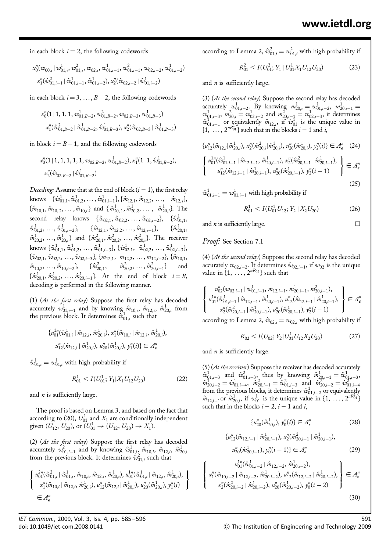(25)

in each block  $i = 2$ , the following codewords

$$
\begin{aligned} &x_0^n(w_{00,i}\,|\,w_{01,i}^1,w_{01,i}^2,w_{02,i}^1,w_{01,i-1}^1,w_{01,i-1}^2,w_{02,i-2}^1,w_{01,i-2}^1)\\ &x_1^n(\hat{w}_{01,i-1}^2\,|\,\hat{w}_{01,i-1}^1,\hat{w}_{01,i-2}^1),x_2^n(\hat{w}_{02,i-2}\,|\,\hat{w}_{01,i-2}^1) \end{aligned}
$$

in each block  $i = 3, \ldots, B - 2$ , the following codewords

$$
\begin{aligned} &x_0^n(1 \,|\, 1,1,1,w_{01,B-2}^1,w_{01,B-2}^2,w_{02,B-3},w_{01,B-3}^1)\\ &x_1^n(\hat{w}_{01,B-2}^2 \,|\, \hat{w}_{01,B-2}^1,\hat{w}_{01,B-3}^1), x_2^n(\hat{w}_{02,B-3} \,|\, \hat{w}_{01,B-3}^1) \end{aligned}
$$

in block  $i = B - 1$ , and the following codewords

$$
\begin{aligned} &x_0^n(1\,|\,1,1,1,1,1,w_{02,B-2},w_{01,B-2}^1),x_1^n(1\,|\,1,\hat{w}_{01,B-2}^1),\\ &x_2^n(\hat{w}_{02,B-2}\,|\,\hat{w}_{01,B-2}^1) \end{aligned}
$$

Decoding: Assume that at the end of block  $(i - 1)$ , the first relay knows  $\{\hat{w}^1_{01,1}, \hat{w}^1_{01,2}, \dots, \hat{w}^1_{01,i-1}\}, \{\hat{m}_{12,1}, \hat{m}_{12,2}, \dots, \hat{m}_{12,i}\},\$  $\{\hat{m}^1_{10,1}, \hat{m}^1_{10,2}, \ldots, \hat{m}^1_{10,i }\}$  and  $\{\hat{m}^1_{20,1}, \hat{m}^1_{20,2}, \ldots, \hat{m}^1_{20,i }\}.$  The second relay knows  $\{\hat{w}_{02,1}, \hat{w}_{02,2}, \ldots, \hat{w}_{02,i-2}\}, \{\hat{w}_{01,1}^1,$  $\hat{\mathcal{w}}_{01,2}^1,\, \ldots,\, \hat{\mathcal{w}}_0^1$  $\{\hat{m}_{12,1}, \hat{m}_{12,2}, \ldots, \hat{m}_{12,i-1}\},$  $\{\hat{m}_{20.1}^1,$  $\hat{m}^1_{20,2}, \ldots, \hat{m}^1_{20,i}$  and  $\{\hat{m}^2_{20,1}, \hat{m}^2_{20,2}, \ldots, \hat{m}^2_{20,i}\}.$  The receiver knows  $\{\hat{w}^1_{01,1}, \hat{w}^1_{01,2}, \dots, \hat{w}^1_{01,i-3}\}, \{\hat{w}^1_{02,1}, \hat{w}^1_{02,2}, \dots, \hat{w}^1_{02,i-3}\},$  ${\hat{w}_{02,1}, \hat{w}_{02,2}, \dots, \hat{w}_{02,i-3}}$ ,  ${m_{12,1}, m_{12,2}, \dots, m_{12,i-2}}$ ,  ${\hat{m}_{10,1}}$  $\hat{m}^{\,}_{10,2}, \ldots, \hat{m}^{\,}_{10,i-2}\}, \qquad \{\hat{m}^2_{20,1},\}$  $\hat{m}^2_{20,1}$ ,  $\hat{m}^2_{20,2}$ , ...,  $\hat{m}^2_{20,i-1}$ } and  $\{\hat{m}^1_{20,1}, \hat{m}^1_{20,2}, \ldots, \hat{m}^1_{20,i-1}\}.$  At the end of block  $i = B$ , decoding is performed in the following manner.

(1) (At the first relay) Suppose the first relay has decoded accurately  $w_{01,i-1}^1$  and by knowing  $\hat{m}_{10,i}$ ,  $\hat{m}_{12,i}$ ,  $\hat{m}_{20,i}^1$  from the previous block. It determines  $\hat{\omega}_{01,i}^1$  such that

$$
\{u_{01}^{1n}(\hat{w}_{01,i}^1 | \hat{m}_{12,i}, \hat{m}_{20,i}^1), x_1^n(\hat{m}_{10,i} | \hat{m}_{12,i}, \hat{m}_{20,i}^1), u_{12}^n(\hat{m}_{12,i} | \hat{m}_{20,i}^1), u_{20}^n(\hat{m}_{20,i}^1), y_1^n(i)\} \in \mathcal{A}_{\epsilon}^n
$$

 $\hat{\omega}_{01,i}^1 = \omega_{01,i}^1$  with high probability if

$$
R_{01}^1 < I(U_{01}^1; Y_1 | X_1 U_{12} U_{20}) \tag{22}
$$

and  $n$  is sufficiently large.

The proof is based on Lemma 3, and based on the fact that according to (20),  $U_{01}^1$  and  $X_1$  are conditionally independent given  $(U_1_2, U_{20})$ , or  $(U_{01}^1 \rightarrow (U_{12}, U_{20}) \rightarrow X_1)$ .

(2) (At the first relay) Suppose the first relay has decoded accurately  $w^2_{01,i-1}$  and by knowing  $\hat{w}^1_{01,i}, \hat{m}^1_{10,i}, \hat{m}^1_{12,i}, \hat{m}^1_{20,i}$ <br>from the previous block. It determines  $\hat{w}^2_{01,i}$  such that

$$
\begin{cases}\n u_{01}^{2n}(\hat{w}_{01,i}^2 | \hat{w}_{01,i}^1, \hat{m}_{10,i}, \hat{m}_{12,i}, \hat{m}_{20,i}^1),\n u_{01}^{1n}(\hat{w}_{01,i}^1 | \hat{m}_{12,i}, \hat{m}_{20,i}^1), \\
 x_1^n(\hat{m}_{10,i} | \hat{m}_{12,i}, \hat{m}_{20,i}^1),\n u_{12}^n(\hat{m}_{12,i} | \hat{m}_{20,i}^1),\n u_{20}^n(\hat{m}_{20,i}^1),\n y_1^n(i)\n\end{cases}\n\in A_\epsilon^n
$$

according to Lemma 2,  $\hat{w}_{01,i}^2 = w_{01,i}^2$  with high probability if

$$
R_{01}^2 < I(U_{01}^2; Y_1 \mid U_{01}^1 X_1 U_{12} U_{20}) \tag{23}
$$

and  $n$  is sufficiently large.

(3) (At the second relay) Suppose the second relay has decoded accurately  $w_{01,i-2}^1$ . By knowing  $m_{20,i}^1 = w_{01,i-2}^1$ ,  $m_{20,i-1}^1 =$  $w_{{0, i-3}}^{1}$ ,  $m_{{20,i}}^{2} = w_{{0, i-2}}^{1}$  and  $m_{{20,i-1}}^{2} = w_{{0, i-3}}^{1}$ , it determines  $\hat{w}^1_{01,i-1}$  or equivalently  $\hat{m}_{12,i}$ , if  $\hat{w}^1_{01}$  is the unique value in  $\{1, \ldots, 2^{nR_{01}^{11}}\}$  such that in the blocks  $i-1$  and i,

$$
\begin{cases}\n u_{12}^n(\hat{m}_{12,i}|\hat{m}_{20,i}^1), x_2^n(\hat{m}_{20,i}^2|\hat{m}_{20,i}^1), u_{20}^n(\hat{m}_{20,i}^1), y_2^n(i)\n\end{cases} \in A_\epsilon^n \quad (24)
$$
\n
$$
\begin{cases}\n u_{01}^{1n}(\hat{w}_{01,i-1}^1|\hat{m}_{12,i-1}, \hat{m}_{20,i-1}^1), x_2^n(\hat{m}_{20,i-1}^2|\hat{m}_{20,i-1}^1), \\
 u_{12}^n(\hat{m}_{12,i-1}|\hat{m}_{20,i-1}^1), u_{20}^n(\hat{m}_{20,i-1}^1), y_2^n(i-1))\n\end{cases} \in A_\epsilon^n
$$

 $\hat{w}^1_{01,i-1} = w^1_{01,i-1}$  with high probability if

$$
R_{01}^1 < I(U_{01}^1 U_{12}; Y_2 | X_2 U_{20}) \tag{26}
$$

and *n* is sufficiently large.  $\Box$ 

Proof: See Section 7.1

(4) (At the second relay) Suppose the second relay has decoded accurately  $w_{02,i-2}$ . It determines  $\hat{w}_{02,i-1}$ , if  $w_{02}$  is the unique value in  $\{1, \ldots, 2^{nR_{02}}\}$  such that

$$
\begin{cases} u_{02}^n(w_{02,i-1} | w_{01,i-1}^1, m_{12,i-1}, m_{20,i-1}^1, m_{20,i-1}^2), \\ u_{01}^{1n}(\hat{w}_{01,i-1}^1 | \hat{m}_{12,i-1}, \hat{m}_{20,i-1}^1), u_{12}^n(\hat{m}_{12,i-1} | \hat{m}_{20,i-1}^1), \\ x_2^n(\hat{m}_{20,i-1}^2 | \hat{m}_{20,i-1}^1), u_{20}^n(\hat{m}_{20,i-1}^1), y_2^n(i-1) \end{cases} \in A_\epsilon^n
$$

according to Lemma 2,  $\hat{w}_{02,i} = w_{02,i}$  with high probability if

$$
R_{02} < I(U_{02}; Y_2 | U_{01}^1 U_{12} X_2 U_{20}) \tag{27}
$$

and  $n$  is sufficiently large.

(5) (At the receiver) Suppose the receiver has decoded accurately  $\hat{w}^1_{0,1,i-3}$  and  $\hat{w}^2_{0,1,i-3}$ , thus by knowing  $\hat{m}^1_{2,0,i-1} = \hat{w}^1_{0,1,i-3}$  $\hat{m}^{1}_{20,i-2} = \hat{w}^1_{01,i-4}, \ \hat{m}^2_{20,i-1} = \hat{w}^2_{01,i-3}$  and  $\hat{m}^{2}_{20,i-2} = \hat{w}^{2}_{01,i-4}$ <br>from the previous blocks, it determines  $\hat{w}^1_{01,i-2}$  or equivalently  $\hat{m}$ <sub>12,i-1</sub>or  $\hat{m}$ <sup>1</sup><sub>20,i</sub>, if  $w_{01}$ <sup>1</sup> is the unique value in {1, ...,  $2^{nR_{01}^{1}}$ } such that in the blocks  $i - 2$ ,  $i - 1$  and i,

$$
\{u_{20}^n(\hat{m}_{20,i}^1), y_0^n(i)\} \in A_{\epsilon}^n \tag{28}
$$

$$
\{u_{12}^n(\hat{m}_{12,i-1} | \hat{m}_{20,i-1}^1), x_2^n(\hat{m}_{20,i-1}^2 | \hat{m}_{20,i-1}^1), u_{20}^n(\hat{m}_{20,i-1}^1), y_0^n(i-1)\} \in A_{\epsilon}^n
$$
 (29)

$$
\begin{cases}\n u_{01}^{1n}(\hat{w}_{01,i-2}^{1} | \hat{m}_{12,i-2}, \hat{m}_{20,i-2}^{1}), \\
 x_{1}^{n}(\hat{m}_{10,i-2} | \hat{m}_{12,i-2}, \hat{m}_{20,i-2}^{1}), \, u_{12}^{n}(\hat{m}_{12,i-2} | \hat{m}_{20,i-2}^{1}), \\
 x_{2}^{n}(\hat{m}_{20,i-2}^{2} | \hat{m}_{20,i-2}^{1}), \, u_{20}^{n}(\hat{m}_{20,i-2}^{1}), \, y_{0}^{n}(\mathbf{i} - 2)\n\end{cases} \in A_{\epsilon}^{n}
$$
\n(30)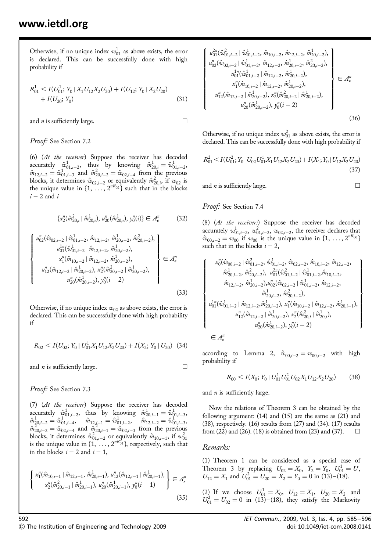Otherwise, if no unique index  $w_{01}^1$  as above exists, the error is declared. This can be successfully done with high probability if

$$
R_{01}^{1} < I(U_{01}^{1}; Y_0 | X_1 U_{12} X_2 U_{20}) + I(U_{12}; Y_0 | X_2 U_{20}) \\
\quad + I(U_{20}; Y_0) \tag{31}
$$

and  $n$  is sufficiently large.

$$
\Box
$$

#### Proof: See Section 7.2

(6)  $(At the receiver)$  Suppose the receiver has decoded accurately  $\hat{\omega}_{01,i-2}^1$ , thus by knowing  $\hat{m}_{20,i}^1 = \hat{\omega}_{01,i-2}^1$ ,  $\hat{m}_{12,i-2} = \hat{w}_{01,i-3}^{1}$  and  $\hat{m}_{20,i-2}^{2} = \hat{w}_{02,i-4}$  from the previous blocks, it determines  $\hat{w}_{02,i-2}$  or equivalently  $\hat{m}^2_{20,i}$ , if  $w_{02}$  is the unique value in  $\{1, \ldots, 2^{nR_{02}}\}$  such that in the blocks  $i - 2$  and i

$$
\{x_2^n(\hat{m}_{20,i}^2 \mid \hat{m}_{20,i}^1), u_{20}^n(\hat{m}_{20,i}^1), y_0^n(i)\} \in A_\epsilon^n \tag{32}
$$

$$
\begin{Bmatrix}\nu_{02}^n(\hat{w}_{02,i-2} | \hat{w}_{01,i-2}^1, \hat{m}_{12,i-2}, \hat{m}_{20,i-2}^1, \hat{m}_{20,i-2}^2),\nu_{01}^{1n}(\hat{w}_{01,i-2}^1 | \hat{m}_{12,i-2}, \hat{m}_{20,i-2}^1),\n x_1^n(\hat{m}_{10,i-2} | \hat{m}_{12,i-2}, \hat{m}_{20,i-2}^1),\nu_{12}^n(\hat{m}_{12,i-2} | \hat{m}_{20,i-2}^1), x_2^n(\hat{m}_{20,i-2}^2 | \hat{m}_{20,i-2}^1),\nu_{20}^n(\hat{m}_{20,i-2}^1), y_0^n(i-2)\n\end{Bmatrix} \in \mathcal{A}_{\epsilon}^n
$$
\n(33)

Otherwise, if no unique index  $w_{02}$  as above exists, the error is declared. This can be successfully done with high probability if

$$
R_{02} < I(U_{02}; Y_0 \mid U_{01}^1 X_1 U_{12} X_2 U_{20}) + I(X_2; Y_0 \mid U_{20}) \tag{34}
$$

and *n* is sufficiently large.

Proof: See Section 7.3

(7) (At the receiver) Suppose the receiver has decoded accurately  $\hat{\omega}_{01,i-2}^1$ , thus by knowing  $\hat{m}_{20,i-1}^1 = \hat{\omega}_{01,i-3}^1$ ,  $\hat{m}^1_{20,i-2} = \hat{w}^1_{01,i-4}, \quad \hat{m}_{12,i-1} = \hat{w}^1_{01,i-2}, \quad \hat{m}_{12,i-2} = \hat{w}^1_{01,i-3},$  $\hat{m}^2_{20,i-2} = \hat{w}_{02,i-4}$  and  $\hat{m}^2_{20,i-1} = \hat{w}_{02,i-3}$  from the previous blocks, it determines  $\hat{w}_{01,i-2}^2$  or equivalently  $\hat{m}_{10,i-1}$ , if  $w_{01}^2$  is the unique value in  $\{1, \ldots, 2^{nR_{01}^2}\}$ , respectively, such that in the blocks  $i - 2$  and  $i - 1$ ,

$$
\begin{cases} x_1^n(\hat{m}_{10,i-1} | \hat{m}_{12,i-1}, \hat{m}_{20,i-1}^1), u_{12}^n(\hat{m}_{12,i-1} | \hat{m}_{20,i-1}^1), \\ x_2^n(\hat{m}_{20,i-1}^2 | \hat{m}_{20,i-1}^1), u_{20}^n(\hat{m}_{20,i-1}^1), y_0^n(i-1) \end{cases} \in \mathcal{A}_{\epsilon}^n
$$
\n(35)

$$
\begin{cases}\n u_{01}^{2n}(\hat{w}_{01,i-2}^2 | \hat{w}_{01,i-2}^1, \hat{m}_{10,i-2}, \hat{m}_{12,i-2}, \hat{m}_{20,i-2}^1, \\
 u_{02}^n(\hat{w}_{02,i-2} | \hat{w}_{01,i-2}^1, \hat{m}_{12,i-2}, \hat{m}_{20,i-2}^1, \hat{m}_{20,i-2}^2), \\
 u_{01}^{1n}(\hat{w}_{01,i-2}^1 | \hat{m}_{12,i-2}, \hat{m}_{20,i-2}^1), \\
 x_1^n(\hat{m}_{10,i-2} | \hat{m}_{12,i-2}, \hat{m}_{20,i-2}^1), \\
 u_{12}^n(\hat{m}_{12,i-2} | \hat{m}_{20,i-2}^1), x_2^n(\hat{m}_{20,i-2}^2 | \hat{m}_{20,i-2}^1), \\
 u_{20}^n(\hat{m}_{20,i-2}^1), y_0^n(i-2)\n\end{cases} \in A_\epsilon^n
$$
\n(36)

Otherwise, if no unique index  $w_{01}^2$  as above exists, the error is declared. This can be successfully done with high probability if

$$
R_{01}^2 < I(U_{01}^2; Y_0 | U_{02} U_{01}^1 X_1 U_{12} X_2 U_{20}) + I(X_1; Y_0 | U_{12} X_2 U_{20}) \tag{37}
$$

and *n* is sufficiently large. 
$$
\Box
$$

$$
\Box
$$

#### Proof: See Section 7.4

(8) (At the receiver:) Suppose the receiver has decoded accurately  $w_{01,i-2}^1$ ,  $w_{01,i-2}^2$ ,  $w_{02,i-2}$ , the receiver declares that  $\hat{w}_{00,i-2} = w_{00}$  if  $w_{00}$  is the unique value in  $\{1, \ldots, 2^{nR_{00}} \}$ such that in the blocks  $i - 2$ ,

$$
\begin{cases}\n x_0^n(\hat{w}_{00,i-2} | \hat{w}_{01,i-2}^2, \hat{w}_{01,i-2}^1, \hat{w}_{02,i-2}, \hat{m}_{10,i-2}, \hat{m}_{12,i-2}, \\
 \hat{m}_{20,i-2}^1, \hat{m}_{20,i-2}^2), \, u_{01}^{2n}(\hat{w}_{01,i-2}^1 | \hat{w}_{01,i-2}^1, \hat{m}_{10,i-2}, \\
 \hat{m}_{12,i-2}, \hat{m}_{20,i-2}^1), \, u_{02}^n(\hat{w}_{02,i-2} | \hat{w}_{01,i-2}^1, \hat{m}_{12,i-2}, \\
 \hat{m}_{20,i-2}^1, \hat{m}_{20,i-2}^2), \\
 u_{01}^n(\hat{w}_{01,i-2}^1 | \hat{m}_{12,i-2}, \hat{m}_{20,i-2}^1), \, x_1^n(\hat{m}_{10,i-2} | \hat{m}_{12,i-2}, \hat{m}_{20,i-1}^1), \\
 & u_{12}^n(\hat{m}_{12,i-2} | \hat{m}_{20,i-2}^1), \, x_2^n(\hat{m}_{20,i}^2 | \hat{m}_{20,i}^1), \\
 & u_{20}^n(\hat{m}_{20,i-2}^1), \, y_0^n(i-2)\n\end{cases}
$$
\n
$$
\in \mathcal{A}_{\epsilon}^n
$$

according to Lemma 2,  $\hat{w}_{00,i-2} = w_{00,i-2}$  with high probability if

$$
R_{00} < I(X_0; Y_0 \mid U_{01}^1 U_{01}^2 U_{02} X_1 U_{12} X_2 U_{20}) \tag{38}
$$

and  $n$  is sufficiently large.

Now the relations of Theorem 3 can be obtained by the following argument: (14) and (15) are the same as (21) and  $(38)$ , respectively.  $(16)$  results from  $(27)$  and  $(34)$ .  $(17)$  results from  $(22)$  and  $(26)$ .  $(18)$  is obtained from  $(23)$  and  $(37)$ .

#### Remarks:

(1) Theorem 1 can be considered as a special case of Theorem 3 by replacing  $U_{02} = X_0$ ,  $Y_2 = Y_0$ ,  $U_{01}^1 = U$ ,  $U_{12} = X_1$  and  $U_{01}^2 = U_{20} = X_2 = Y_0 = 0$  in (13)–(18).

(2) If we choose  $U_{01}^1 = X_0$ ,  $U_{12} = X_1$ ,  $U_{20} = X_2$  and  $U_{01}^2 = U_{02} = 0$  in (13)–(18), they satisfy the Markovity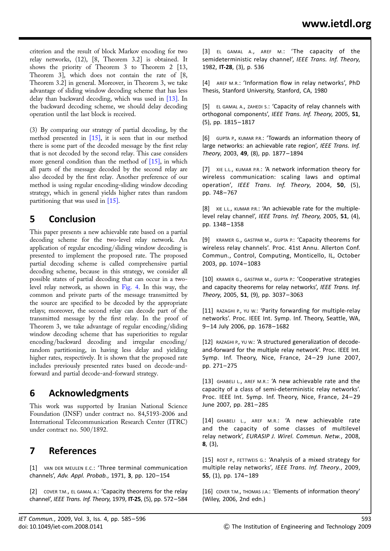criterion and the result of block Markov encoding for two relay networks, (12), [8, Theorem 3.2] is obtained. It shows the priority of Theorem 3 to Theorem 2 [13, Theorem 3], which does not contain the rate of [8, Theorem 3.2] in general. Moreover, in Theorem 3, we take advantage of sliding window decoding scheme that has less delay than backward decoding, which was used in [13]. In the backward decoding scheme, we should delay decoding operation until the last block is received.

(3) By comparing our strategy of partial decoding, by the method presented in  $[15]$ , it is seen that in our method there is some part of the decoded message by the first relay that is not decoded by the second relay. This case considers more general condition than the method of  $[15]$ , in which all parts of the message decoded by the second relay are also decoded by the first relay. Another preference of our method is using regular encoding-sliding window decoding strategy, which in general yields higher rates than random partitioning that was used in [15].

### 5 Conclusion

This paper presents a new achievable rate based on a partial decoding scheme for the two-level relay network. An application of regular encoding/sliding window decoding is presented to implement the proposed rate. The proposed partial decoding scheme is called comprehensive partial decoding scheme, because in this strategy, we consider all possible states of partial decoding that can occur in a twolevel relay network, as shown in Fig. 4. In this way, the common and private parts of the message transmitted by the source are specified to be decoded by the appropriate relays; moreover, the second relay can decode part of the transmitted message by the first relay. In the proof of Theorem 3, we take advantage of regular encoding/sliding window decoding scheme that has superiorities to regular encoding/backward decoding and irregular encoding/ random partitioning, in having less delay and yielding higher rates, respectively. It is shown that the proposed rate includes previously presented rates based on decode-andforward and partial decode-and-forward strategy.

### 6 Acknowledgments

This work was supported by Iranian National Science Foundation (INSF) under contract no. 84,5193-2006 and International Telecommunication Research Center (ITRC) under contract no. 500/1892.

### 7 References

[1] VAN DER MEULEN E.C.: 'Three terminal communication channels', Adv. Appl. Probab., 1971, 3, pp. 120-154

[2] COVER T.M., EL GAMAL A.: 'Capacity theorems for the relay channel', IEEE Trans. Inf. Theory, 1979, IT-25, (5), pp. 572–584 [3] EL GAMAL A., AREF M.: 'The capacity of the semideterministic relay channel', IEEE Trans. Inf. Theory, 1982, IT-28, (3), p. 536

[4] AREF M.R.: 'Information flow in relay networks', PhD Thesis, Stanford University, Stanford, CA, 1980

[5] EL GAMAL A., ZAHEDI S.: 'Capacity of relay channels with orthogonal components', IEEE Trans. Inf. Theory, 2005, 51, (5), pp. 1815– 1817

[6] GUPTA P., KUMAR P.R.: 'Towards an information theory of large networks: an achievable rate region', IEEE Trans. Inf. Theory, 2003, 49, (8), pp. 1877– 1894

[7] XIE L.L., KUMAR P.R.: 'A network information theory for wireless communication: scaling laws and optimal operation', IEEE Trans. Inf. Theory, 2004, 50, (5), pp. 748– 767

[8] XIE L.L., KUMAR P.R.: 'An achievable rate for the multiplelevel relay channel', IEEE Trans. Inf. Theory, 2005, 51, (4), pp. 1348– 1358

[9] KRAMER G., GASTPAR M., GUPTA P.: 'Capacity theorems for wireless relay channels'. Proc. 41st Annu. Allerton Conf. Commun., Control, Computing, Monticello, IL, October 2003, pp. 1074– 1083

[10] KRAMER G., GASTPAR M., GUPTA P.: 'Cooperative strategies and capacity theorems for relay networks', IEEE Trans. Inf. Theory, 2005, 51, (9), pp. 3037– 3063

[11] RAZAGHI P., YU W.: 'Parity forwarding for multiple-relay networks'. Proc. IEEE Int. Symp. Inf. Theory, Seattle, WA, 9– 14 July 2006, pp. 1678– 1682

[12] RAZAGHI P., YU W.: 'A structured generalization of decodeand-forward for the multiple relay network'. Proc. IEEE Int. Symp. Inf. Theory, Nice, France, 24-29 June 2007, pp. 271– 275

[13] GHABELI L., AREF M.R.: 'A new achievable rate and the capacity of a class of semi-deterministic relay networks'. Proc. IEEE Int. Symp. Inf. Theory, Nice, France, 24 – 29 June 2007, pp. 281– 285

[14] GHABELI L., AREF M.R.: 'A new achievable rate and the capacity of some classes of multilevel relay network', EURASIP J. Wirel. Commun. Netw., 2008, 8, (3),

[15] ROST P., FETTWEIS G.: 'Analysis of a mixed strategy for multiple relay networks', IEEE Trans. Inf. Theory., 2009, 55, (1), pp. 174– 189

[16] COVER T.M., THOMAS J.A.: 'Elements of information theory' (Wiley, 2006, 2nd edn.)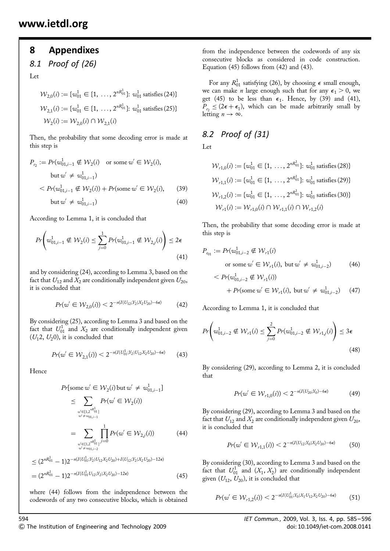#### 8 Appendixes

### 8.1 Proof of (26)

Let

$$
\mathcal{W}_{2,0}(i) := \{w_{01}^1 \in \{1, \ldots, 2^{nR_{01}^1}\}: w_{01}^1 \text{ satisfies (24)}\}
$$

$$
\mathcal{W}_{2,1}(i) := \{w_{01}^1 \in \{1, \ldots, 2^{nR_{01}^1}\}: w_{01}^1 \text{ satisfies (25)}\}
$$

$$
\mathcal{W}_2(i) := \mathcal{W}_{2,0}(i) \cap \mathcal{W}_{2,1}(i)
$$

Then, the probability that some decoding error is made at this step is

$$
P_{e_2} := Pr(w_{01,i-1}^1 \notin W_2(i) \text{ or some } w' \in W_2(i),
$$
  
but  $w' \neq w_{01,i-1}^1$   
 $< Pr(w_{01,i-1}^1 \notin W_2(i)) + Pr(\text{some } w' \in W_2(i),$  (39)

$$
but w' \neq w_{01,i-1}^1
$$
\n
$$
\tag{40}
$$

According to Lemma 1, it is concluded that

$$
Pr\left(w_{01,i-1}^1 \notin \mathcal{W}_2(i) \le \sum_{j=0}^1 Pr(w_{01,i-1}^1 \notin \mathcal{W}_{2,j}(i)\right) \le 2\epsilon
$$
\n(41)

and by considering (24), according to Lemma 3, based on the fact that  $U_{12}$  and  $X_2$  are conditionally independent given  $U_{20}$ , it is concluded that

$$
Pr(w' \in \mathcal{W}_{2,0}(i)) < 2^{-n(I(U_{12}; Y_2 | X_2 U_{20}) - 6\epsilon)} \tag{42}
$$

By considering (25), according to Lemma 3 and based on the fact that  $U_{01}^1$  and  $X_2$  are conditionally independent given  $(U_12, U_20)$ , it is concluded that

$$
Pr(w' \in \mathcal{W}_{2,1}(i)) < 2^{-n(I(U_{01}^1; Y_2 | U_{12} X_2 U_{20}) - 6\epsilon)} \tag{43}
$$

Hence

$$
Pr[\text{some } w' \in \mathcal{W}_2(i) \text{ but } w' \neq w_{01,i-1}^1]
$$
  
\n
$$
\leq \sum_{w' \in [1,2^{nR_{01}^1}]} Pr(w' \in \mathcal{W}_2(i))
$$
  
\n
$$
= \sum_{w' \neq w_{01,i-1} \atop w' \neq w_{01,i-2}} \prod_{j=0}^1 Pr(w' \in \mathcal{W}_{2,j}(i))
$$
(44)  
\n
$$
\int_{w' \neq w_{01,i-2}^1}^1 \sum_{j=0}^1 Pr(w' \in \mathcal{W}_{2,j}(i))
$$

$$
\leq (2^{nR_{01}^1} - 1)2^{-n(I(U_{01}^1; Y_2 | U_{12} X_2 U_{20}) + I(U_{12}; Y_2 | X_2 U_{20}) - 12\epsilon)} \n= (2^{nR_{01}^1} - 1)2^{-n(I(U_{01}^1 U_{12}; Y_2 | X_2 U_{20}) - 12\epsilon)}
$$
\n(45)

where (44) follows from the independence between the codewords of any two consecutive blocks, which is obtained from the independence between the codewords of any six consecutive blocks as considered in code construction. Equation (45) follows from (42) and (43).

For any  $R_{01}^1$  satisfying (26), by choosing  $\epsilon$  small enough, we can make *n* large enough such that for any  $\epsilon_1 > 0$ , we get (45) to be less than  $\epsilon_1$ . Hence, by (39) and (41),  $P_{e_2} \leq (2\epsilon + \epsilon_1)$ , which can be made arbitrarily small by letting  $n \to \infty$ .

### 8.2 Proof of (31) Let

$$
\mathcal{W}_{r1,0}(i) := \{w_{01}^1 \in \{1, \ldots, 2^{nR_{01}^1}\}: w_{01}^1 \text{ satisfies (28)}\}
$$
  

$$
\mathcal{W}_{r1,1}(i) := \{w_{01}^1 \in \{1, \ldots, 2^{nR_{01}^1}\}: w_{01}^1 \text{ satisfies (29)}\}
$$
  

$$
\mathcal{W}_{r1,2}(i) := \{w_{01}^1 \in \{1, \ldots, 2^{nR_{01}^1}\}: w_{01}^1 \text{ satisfies (30)}\}
$$
  

$$
\mathcal{W}_{r1}(i) := \mathcal{W}_{r1,0}(i) \cap \mathcal{W}_{r1,1}(i) \cap \mathcal{W}_{r1,2}(i)
$$

Then, the probability that some decoding error is made at this step is

$$
P_{e_{01}} := Pr(w_{01,i-2}^1 \notin \mathcal{W}_{r1}(i)
$$
  
or some  $w' \in \mathcal{W}_{r1}(i)$ , but  $w' \neq w_{01,i-2}^1$ ) (46)  

$$
< Pr(w_{01,i-2}^1 \notin \mathcal{W}_{r1}(i))
$$

$$
+ Pr(\text{some } w' \in \mathcal{W}_{r1}(i), \text{ but } w' \neq w_{01,i-2}^1) \quad (47)
$$

According to Lemma 1, it is concluded that

$$
Pr\left(w_{01,i-2}^1 \notin \mathcal{W}_{r1}(i) \le \sum_{j=0}^2 Pr(w_{01,i-2}^1 \notin \mathcal{W}_{r1,j}(i))\right) \le 3\epsilon
$$
\n(48)

By considering (29), according to Lemma 2, it is concluded that

$$
Pr(w' \in \mathcal{W}_{r1,0}(i)) < 2^{-n(I(U_{20}; Y_0) - 6\epsilon)} \tag{49}
$$

By considering (29), according to Lemma 3 and based on the fact that  $U_{12}$  and  $X_2$  are conditionally independent given  $U_{20}$ , it is concluded that

$$
Pr(w' \in \mathcal{W}_{r1,1}(i)) < 2^{-n(I(U_{12}; Y_0 | X_2 U_{20}) - 6\epsilon)} \tag{50}
$$

By considering (30), according to Lemma 3 and based on the fact that  $U_{01}^1$  and  $(X_1, X_2)$  are conditionally independent given  $(U_{12}, U_{20})$ , it is concluded that

$$
Pr(w' \in \mathcal{W}_{r1,2}(i)) < 2^{-n(I(U_{01}^1; Y_0 | X_1 U_{12} X_2 U_{20}) - 6\epsilon)} \tag{51}
$$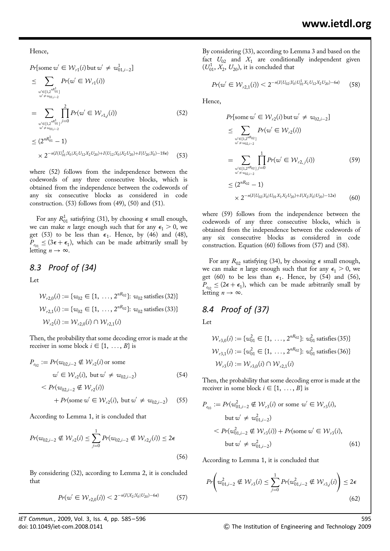Hence,

$$
Pr[\text{some } w' \in \mathcal{W}_{r1}(i) \text{ but } w' \neq w_{01,i-2}^1]
$$
  
\n
$$
\leq \sum_{w' \in [1,2^{nR_{01}^1}] \atop w' \neq w_{01,i-2}} Pr(w' \in \mathcal{W}_{r1}(i))
$$
  
\n
$$
= \sum_{w' \in [1,2^{nR_{01}^1}] \atop w' \neq w_{01,i-2}} \prod_{j=0}^2 Pr(w' \in \mathcal{W}_{r1,j}(i))
$$
(52)  
\n
$$
\leq (2^{nR_{01}^1} - 1)
$$
  
\n
$$
\times 2^{-n(I(U_{01}^1; Y_0 | X_1 U_{12} X_2 U_{20}) + I(U_{12}; Y_0 | X_2 U_{20}) + I(U_{20}; Y_0) - 18\epsilon)}
$$
(53)

where (52) follows from the independence between the codewords of any three consecutive blocks, which is obtained from the independence between the codewords of any six consecutive blocks as considered in code construction.  $(53)$  follows from  $(49)$ ,  $(50)$  and  $(51)$ .

For any  $R_{01}^1$  satisfying (31), by choosing  $\epsilon$  small enough, we can make *n* large enough such that for any  $\epsilon_1 > 0$ , we get (53) to be less than  $\epsilon_1$ . Hence, by (46) and (48),  $P_{e_{01}} \leq (3\epsilon + \epsilon_1)$ , which can be made arbitrarily small by letting  $n \to \infty$ .

### 8.3 Proof of (34)

Let

$$
\mathcal{W}_{r2,0}(i) := \{w_{02} \in \{1, \ldots, 2^{nR_{02}}\}: w_{02} \text{ satisfies (32)}\}
$$

$$
\mathcal{W}_{r2,1}(i) := \{w_{02} \in \{1, \ldots, 2^{nR_{02}}\}: w_{02} \text{ satisfies (33)}\}
$$

$$
\mathcal{W}_{r2}(i) := \mathcal{W}_{r2,0}(i) \cap \mathcal{W}_{r2,1}(i)
$$

Then, the probability that some decoding error is made at the receiver in some block  $i \in \{1, ..., B\}$  is

$$
P_{e_{02}} := Pr(w_{02,i-2} \notin \mathcal{W}_{r2}(i) \text{ or some}
$$
  

$$
w' \in \mathcal{W}_{r2}(i), \text{ but } w' \neq w_{02,i-2})
$$
 (54)

$$
\langle Pr(w_{02,i-2} \notin W_{r2}(i))
$$
  
+ 
$$
Pr(\text{some } w' \in W_{r2}(i), \text{ but } w' \neq w_{02,i-2})
$$
 (55)

According to Lemma 1, it is concluded that

$$
Pr(w_{02,i-2} \notin \mathcal{W}_{r2}(i) \le \sum_{j=0}^{1} Pr(w_{02,i-2} \notin \mathcal{W}_{r2,j}(i)) \le 2\epsilon
$$
\n(56)

By considering (32), according to Lemma 2, it is concluded that

$$
Pr(w' \in \mathcal{W}_{r2,0}(i)) < 2^{-n(I(X_2;Y_0|U_{20}) - 6\epsilon)} \tag{57}
$$

By considering (33), according to Lemma 3 and based on the fact  $U_{02}$  and  $X_1$  are conditionally independent given  $(U_{01}^1, X_2, U_{20})$ , it is concluded that

$$
Pr(w' \in \mathcal{W}_{r2,1}(i)) < 2^{-n(I(U_{02};Y_0|U_{01}^1 X_1 U_{12} X_2 U_{20}) - 6\epsilon)} \tag{58}
$$

Hence,

$$
Pr[\text{some } w' \in W_{r2}(i) \text{ but } w' \neq w_{02,i-2}]
$$
\n
$$
\leq \sum_{w' \in [1,2^{nR_{02}}]} Pr(w' \in W_{r2}(i))
$$
\n
$$
= \sum_{w' \in [1,2^{nR_{02}}]} \prod_{j=0}^{1} Pr(w' \in W_{r2,j}(i))
$$
\n
$$
\leq (2^{nR_{02}} - 1)
$$
\n
$$
\times 2^{-n(I(U_{02}; Y_0 | U_{01} X_1 X_2 U_{20}) + I(X_2; Y_0 | U_{20}) - 12\epsilon)} \tag{60}
$$

where (59) follows from the independence between the codewords of any three consecutive blocks, which is obtained from the independence between the codewords of any six consecutive blocks as considered in code construction. Equation (60) follows from (57) and (58).

For any  $R_{02}$  satisfying (34), by choosing  $\epsilon$  small enough, we can make *n* large enough such that for any  $\epsilon_1 > 0$ , we get (60) to be less than  $\epsilon_1$ . Hence, by (54) and (56),  $P_{\epsilon_{02}} \leq (2\epsilon + \epsilon_1)$ , which can be made arbitrarily small by letting  $n \to \infty$ .

### 8.4 Proof of (37)

Let

$$
\mathcal{W}_{r3,0}(i) := \{w_{01}^2 \in \{1, \ldots, 2^{nR_{02}}\}: w_{01}^2 \text{ satisfies (35)}\}
$$

$$
\mathcal{W}_{r3,1}(i) := \{w_{01}^2 \in \{1, \ldots, 2^{nR_{02}}\}: w_{01}^2 \text{ satisfies (36)}\}
$$

$$
\mathcal{W}_{r3}(i) := \mathcal{W}_{r3,0}(i) \cap \mathcal{W}_{r2,1}(i)
$$

Then, the probability that some decoding error is made at the receiver in some block  $i \in \{1, ..., B\}$  is

$$
P_{e_{03}} := Pr(w_{01,i-2}^2 \notin \mathcal{W}_{r3}(i) \text{ or some } w' \in \mathcal{W}_{r3}(i),
$$
  
\nbut  $w' \neq w_{01,i-2}^2$   
\n $< Pr(w_{01,i-2}^2 \notin \mathcal{W}_{r3}(i)) + Pr(\text{some } w' \in \mathcal{W}_{r3}(i),$   
\nbut  $w' \neq w_{01,i-2}^2$  (61)

According to Lemma 1, it is concluded that

$$
Pr\left(w_{01,i-2}^2 \notin \mathcal{W}_{r3}(i) \le \sum_{j=0}^1 Pr(w_{01,i-2}^2 \notin \mathcal{W}_{r3,j}(i)\right) \le 2\epsilon
$$
\n(62)